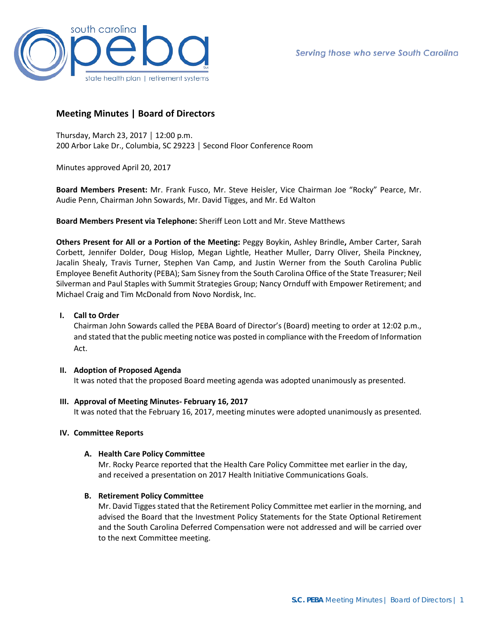

# **Meeting Minutes | Board of Directors**

Thursday, March 23, 2017 │ 12:00 p.m. 200 Arbor Lake Dr., Columbia, SC 29223 │ Second Floor Conference Room

Minutes approved April 20, 2017

**Board Members Present:** Mr. Frank Fusco, Mr. Steve Heisler, Vice Chairman Joe "Rocky" Pearce, Mr. Audie Penn, Chairman John Sowards, Mr. David Tigges, and Mr. Ed Walton

**Board Members Present via Telephone:** Sheriff Leon Lott and Mr. Steve Matthews

**Others Present for All or a Portion of the Meeting:** Peggy Boykin, Ashley Brindle**,** Amber Carter, Sarah Corbett, Jennifer Dolder, Doug Hislop, Megan Lightle, Heather Muller, Darry Oliver, Sheila Pinckney, Jacalin Shealy, Travis Turner, Stephen Van Camp, and Justin Werner from the South Carolina Public Employee Benefit Authority (PEBA); Sam Sisney from the South Carolina Office of the State Treasurer; Neil Silverman and Paul Staples with Summit Strategies Group; Nancy Ornduff with Empower Retirement; and Michael Craig and Tim McDonald from Novo Nordisk, Inc.

#### **I. Call to Order**

Chairman John Sowards called the PEBA Board of Director's (Board) meeting to order at 12:02 p.m., and stated that the public meeting notice was posted in compliance with the Freedom of Information Act.

#### **II. Adoption of Proposed Agenda**

It was noted that the proposed Board meeting agenda was adopted unanimously as presented.

**III. Approval of Meeting Minutes- February 16, 2017**

It was noted that the February 16, 2017, meeting minutes were adopted unanimously as presented.

## **IV. Committee Reports**

#### **A. Health Care Policy Committee**

Mr. Rocky Pearce reported that the Health Care Policy Committee met earlier in the day, and received a presentation on 2017 Health Initiative Communications Goals.

#### **B. Retirement Policy Committee**

Mr. David Tigges stated that the Retirement Policy Committee met earlier in the morning, and advised the Board that the Investment Policy Statements for the State Optional Retirement and the South Carolina Deferred Compensation were not addressed and will be carried over to the next Committee meeting.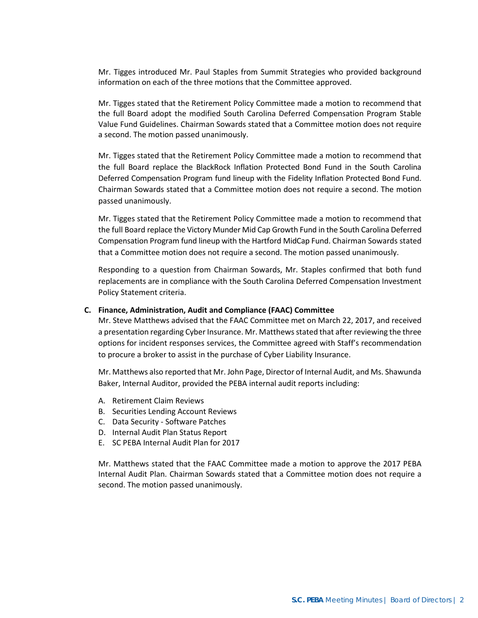Mr. Tigges introduced Mr. Paul Staples from Summit Strategies who provided background information on each of the three motions that the Committee approved.

Mr. Tigges stated that the Retirement Policy Committee made a motion to recommend that the full Board adopt the modified South Carolina Deferred Compensation Program Stable Value Fund Guidelines. Chairman Sowards stated that a Committee motion does not require a second. The motion passed unanimously.

Mr. Tigges stated that the Retirement Policy Committee made a motion to recommend that the full Board replace the BlackRock Inflation Protected Bond Fund in the South Carolina Deferred Compensation Program fund lineup with the Fidelity Inflation Protected Bond Fund. Chairman Sowards stated that a Committee motion does not require a second. The motion passed unanimously.

Mr. Tigges stated that the Retirement Policy Committee made a motion to recommend that the full Board replace the Victory Munder Mid Cap Growth Fund in the South Carolina Deferred Compensation Program fund lineup with the Hartford MidCap Fund. Chairman Sowards stated that a Committee motion does not require a second. The motion passed unanimously.

Responding to a question from Chairman Sowards, Mr. Staples confirmed that both fund replacements are in compliance with the South Carolina Deferred Compensation Investment Policy Statement criteria.

#### **C. Finance, Administration, Audit and Compliance (FAAC) Committee**

Mr. Steve Matthews advised that the FAAC Committee met on March 22, 2017, and received a presentation regarding Cyber Insurance. Mr. Matthews stated that after reviewing the three options for incident responses services, the Committee agreed with Staff's recommendation to procure a broker to assist in the purchase of Cyber Liability Insurance.

Mr. Matthews also reported that Mr. John Page, Director of Internal Audit, and Ms. Shawunda Baker, Internal Auditor, provided the PEBA internal audit reports including:

- A. Retirement Claim Reviews
- B. Securities Lending Account Reviews
- C. Data Security Software Patches
- D. Internal Audit Plan Status Report
- E. SC PEBA Internal Audit Plan for 2017

Mr. Matthews stated that the FAAC Committee made a motion to approve the 2017 PEBA Internal Audit Plan. Chairman Sowards stated that a Committee motion does not require a second. The motion passed unanimously.